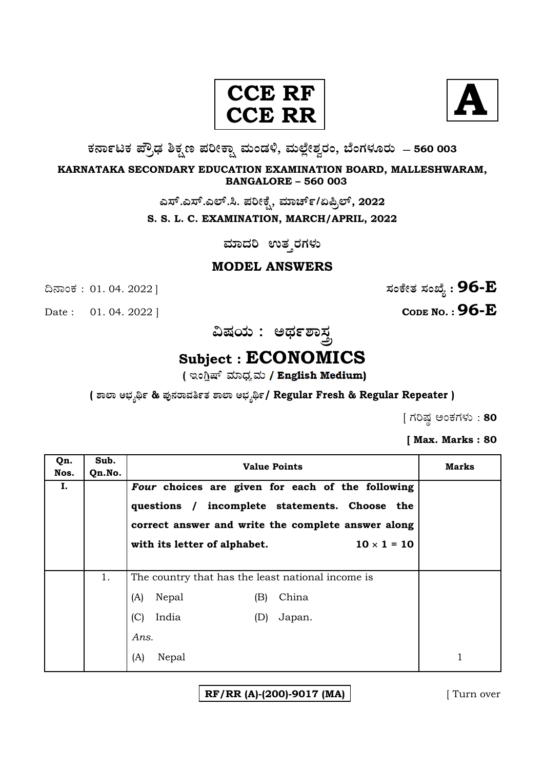#### **CCE CCE R R**



**O⁄´¤%lO⁄ ÆË√v⁄ ÃO⁄–y Æ⁄¬fiO¤– »⁄flMs⁄ÿ, »⁄fl≈Ê«fiÀ⁄ ¡⁄M, ∑ÊMV⁄◊⁄‡¡⁄fl — 560 003** 

**KARNATAKA SECONDARY EDUCATION EXAMINATION BOARD, MALLESHWARAM, BANGALORE – 560 003** 

ಎಸ್.ಎಸ್.ಎಲ್.ಸಿ. ಪರೀಕ್ಷೆ, ಮಾರ್ಚ್/ಏಪ್ರಿಲ್, 2022

**S. S. L. C. EXAMINATION, MARCH/APRIL, 2022** 

**ಮಾದರಿ** ಉತ್ತರಗಳು

**MODEL ANSWERS**

Date : 01. 04. 2022 | **CODE NO. : 96-E** 

¶´¤MO⁄ : 01. 04. 2022 ] **—⁄MOÊfi}⁄ —⁄MSÊ¿ : 96-E**

ವಿಷಯ : ಅರ್ಥಶ<u>ಾಸ</u>್ತ

# **Subject : ECONOMICS**

**( À¤≈¤ @∫⁄¥¿£% & Æ⁄'¥´⁄¡¤»⁄~%}⁄ À¤≈¤ @∫⁄¥¿£%/ Regular Fresh & Regular Repeater )**

 $[$  ಗರಿಷ್ಠ ಅಂಕಗಳು : 80

**[ Max. Marks : 80** 

| Qn.<br>Nos. | Sub.<br>Qn.No. | <b>Value Points</b>                                                                                                                                                                                           | Marks |
|-------------|----------------|---------------------------------------------------------------------------------------------------------------------------------------------------------------------------------------------------------------|-------|
| I.          |                | Four choices are given for each of the following<br>questions / incomplete statements. Choose the<br>correct answer and write the complete answer along<br>$10 \times 1 = 10$<br>with its letter of alphabet. |       |
|             | 1.             | The country that has the least national income is<br>China<br>(A)<br>Nepal<br>(B)<br>India<br>(C)<br>Japan.<br>(D)<br>Ans.<br>(A)<br>Nepal                                                                    |       |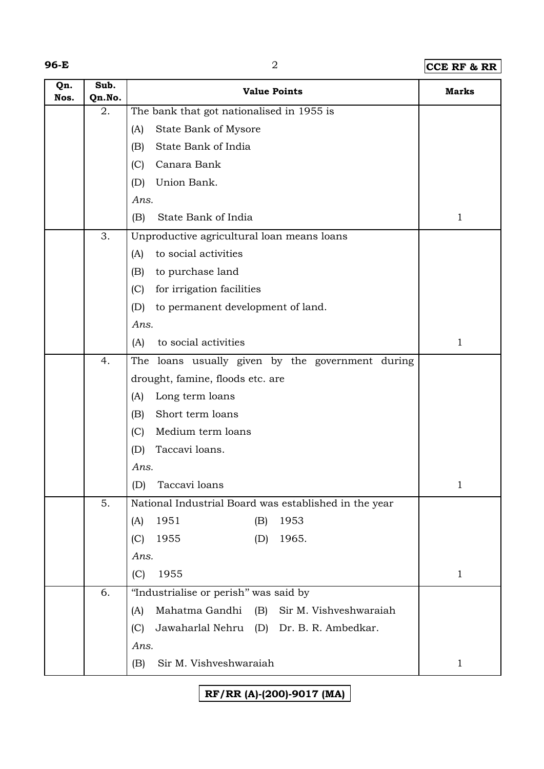| ×<br>۰, |
|---------|
|---------|

## **96-E** 2 **CCE RF & RR**

| Qn.<br>Nos. | Sub.<br>Qn.No. | <b>Value Points</b>                                    | <b>Marks</b> |
|-------------|----------------|--------------------------------------------------------|--------------|
|             | 2.             | The bank that got nationalised in 1955 is              |              |
|             |                | State Bank of Mysore<br>(A)                            |              |
|             |                | State Bank of India<br>(B)                             |              |
|             |                | Canara Bank<br>(C)                                     |              |
|             |                | Union Bank.<br>(D)                                     |              |
|             |                | Ans.                                                   |              |
|             |                | State Bank of India<br>(B)                             | $\mathbf{1}$ |
|             | 3.             | Unproductive agricultural loan means loans             |              |
|             |                | to social activities<br>(A)                            |              |
|             |                | to purchase land<br>(B)                                |              |
|             |                | for irrigation facilities<br>(C)                       |              |
|             |                | (D)<br>to permanent development of land.               |              |
|             |                | Ans.                                                   |              |
|             |                | to social activities<br>(A)                            | $\mathbf 1$  |
|             | 4.             | The loans usually given by the government during       |              |
|             |                | drought, famine, floods etc. are                       |              |
|             |                | Long term loans<br>(A)                                 |              |
|             |                | Short term loans<br>(B)                                |              |
|             |                | Medium term loans<br>(C)                               |              |
|             |                | Taccavi loans.<br>(D)                                  |              |
|             |                | Ans.                                                   |              |
|             |                | (D) Taccavi loans                                      |              |
|             | 5.             | National Industrial Board was established in the year  |              |
|             |                | 1951<br>1953<br>(B)<br>(A)                             |              |
|             |                | 1965.<br>1955<br>(C)<br>(D)                            |              |
|             |                | Ans.                                                   |              |
|             |                | 1955<br>(C)                                            | $\mathbf 1$  |
|             | 6.             | "Industrialise or perish" was said by                  |              |
|             |                | Mahatma Gandhi<br>(B)<br>Sir M. Vishveshwaraiah<br>(A) |              |
|             |                | Jawaharlal Nehru (D) Dr. B. R. Ambedkar.<br>(C)        |              |
|             |                | Ans.                                                   |              |
|             |                | Sir M. Vishveshwaraiah<br>(B)                          | 1            |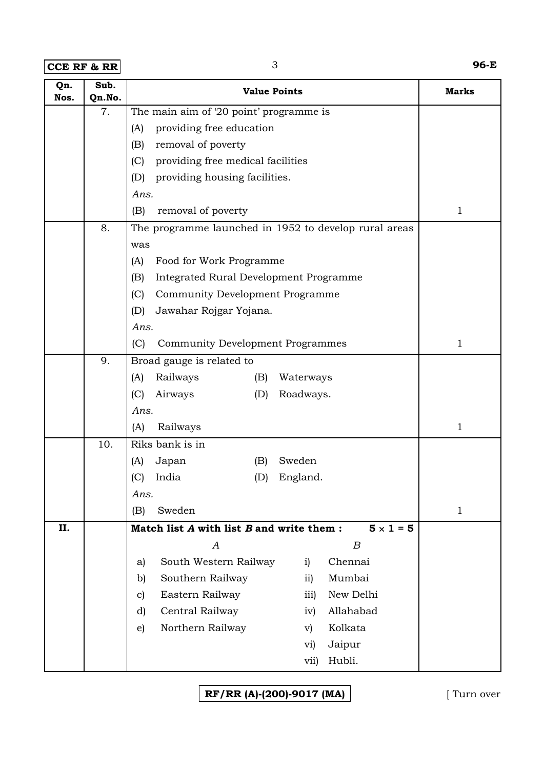**CCE RF & RR** 3 **96-E**

| Qn.<br>Nos. | Sub.<br>Qn.No. | <b>Value Points</b>                                           | <b>Marks</b> |
|-------------|----------------|---------------------------------------------------------------|--------------|
|             | 7.             | The main aim of '20 point' programme is                       |              |
|             |                | providing free education<br>(A)                               |              |
|             |                | (B)<br>removal of poverty                                     |              |
|             |                | providing free medical facilities<br>(C)                      |              |
|             |                | providing housing facilities.<br>(D)                          |              |
|             |                | Ans.                                                          |              |
|             |                | removal of poverty<br>(B)                                     | 1            |
|             | 8.             | The programme launched in 1952 to develop rural areas         |              |
|             |                | was                                                           |              |
|             |                | Food for Work Programme<br>(A)                                |              |
|             |                | Integrated Rural Development Programme<br>(B)                 |              |
|             |                | (C)<br>Community Development Programme                        |              |
|             |                | (D)<br>Jawahar Rojgar Yojana.                                 |              |
|             |                | Ans.                                                          |              |
|             |                | (C)<br><b>Community Development Programmes</b>                | 1            |
|             | 9.             | Broad gauge is related to                                     |              |
|             |                | Railways<br>(A)<br>(B)<br>Waterways                           |              |
|             |                | (C)<br>Airways<br>(D)<br>Roadways.                            |              |
|             |                | Ans.                                                          |              |
|             |                | Railways<br>(A)                                               | 1            |
|             | 10.            | Riks bank is in                                               |              |
|             |                | Sweden<br>Japan<br>(B)<br>(A)                                 |              |
|             |                | India<br>(C)<br>England.<br>(D)                               |              |
|             |                | Ans.                                                          |              |
|             |                | Sweden<br>(B)                                                 | $\mathbf{1}$ |
| II.         |                | $5 \times 1 = 5$<br>Match list A with list B and write them : |              |
|             |                | $\boldsymbol{B}$<br>А                                         |              |
|             |                | Chennai<br>South Western Railway<br>i)<br>a)                  |              |
|             |                | Southern Railway<br>Mumbai<br>b)<br>$\overline{11}$           |              |
|             |                | New Delhi<br>Eastern Railway<br>iii)<br>$\mathbf{c}$          |              |
|             |                | Central Railway<br>Allahabad<br>d)<br>iv)                     |              |
|             |                | Northern Railway<br>Kolkata<br>$\epsilon$ )<br>$\mathbf{v}$   |              |
|             |                | Jaipur<br>$\rm vi)$                                           |              |
|             |                | Hubli.<br>vii)                                                |              |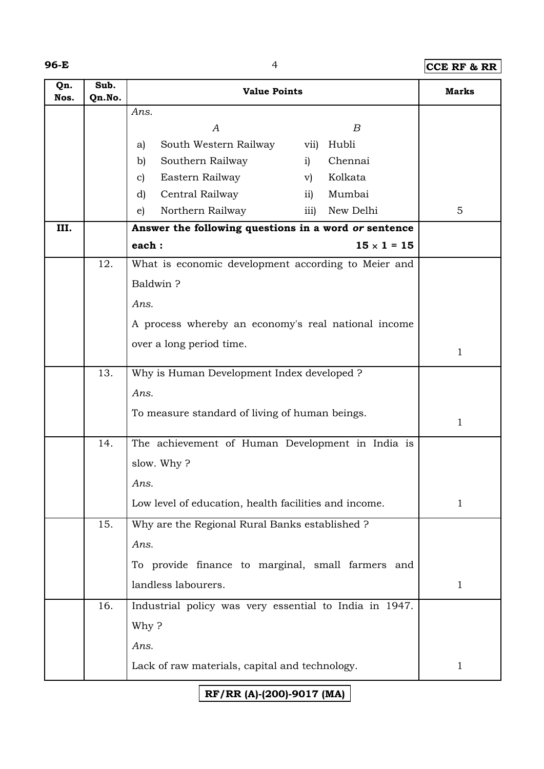| ×<br>۰, |  |
|---------|--|
|---------|--|

**96-E** 4 **CCE RF & RR**

| Qn.<br>Nos. | Sub.<br>Qn.No. | <b>Value Points</b>                                    |                                      | <b>Marks</b> |
|-------------|----------------|--------------------------------------------------------|--------------------------------------|--------------|
|             |                | Ans.                                                   |                                      |              |
|             |                | A                                                      | B                                    |              |
|             |                | South Western Railway<br>a)                            | Hubli<br>vii)                        |              |
|             |                | Southern Railway<br>b)                                 | Chennai<br>i)                        |              |
|             |                | Eastern Railway<br>C)                                  | Kolkata<br>$\rm v)$                  |              |
|             |                | Central Railway<br>d)                                  | Mumbai<br>$\overline{11}$            |              |
|             |                | Northern Railway<br>e)                                 | New Delhi<br>$\overline{\text{iii}}$ | 5            |
| III.        |                | Answer the following questions in a word or sentence   |                                      |              |
|             |                | each:                                                  | $15 \times 1 = 15$                   |              |
|             | 12.            | What is economic development according to Meier and    |                                      |              |
|             |                | Baldwin?                                               |                                      |              |
|             |                | Ans.                                                   |                                      |              |
|             |                | A process whereby an economy's real national income    |                                      |              |
|             |                | over a long period time.                               |                                      |              |
|             |                |                                                        | 1                                    |              |
|             | 13.            | Why is Human Development Index developed ?             |                                      |              |
|             |                | Ans.                                                   |                                      |              |
|             |                | To measure standard of living of human beings.         |                                      | 1            |
|             | 14.            | The achievement of Human Development in India is       |                                      |              |
|             |                | slow. Why?                                             |                                      |              |
|             |                | Ans.                                                   |                                      |              |
|             |                | Low level of education, health facilities and income.  |                                      | 1            |
|             | 15.            | Why are the Regional Rural Banks established ?         |                                      |              |
|             |                | Ans.                                                   |                                      |              |
|             |                | To provide finance to marginal, small farmers and      |                                      |              |
|             |                | landless labourers.                                    |                                      | $\mathbf{1}$ |
|             | 16.            | Industrial policy was very essential to India in 1947. |                                      |              |
|             |                | Why?                                                   |                                      |              |
|             |                | Ans.                                                   |                                      |              |
|             |                |                                                        |                                      |              |
|             |                | Lack of raw materials, capital and technology.         |                                      | 1            |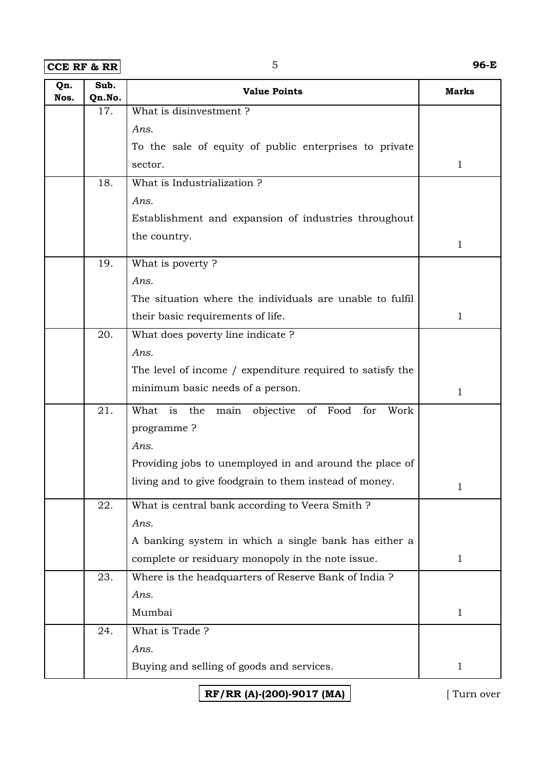**CCE RF & RR** 5 **96-E**

| Qn.<br>Nos. | Sub.<br>Qn.No. | <b>Value Points</b>                                           | <b>Marks</b> |
|-------------|----------------|---------------------------------------------------------------|--------------|
|             | 17.            | What is disinvestment?                                        |              |
|             |                | Ans.                                                          |              |
|             |                | To the sale of equity of public enterprises to private        |              |
|             |                | sector.                                                       | $\mathbf{1}$ |
|             | 18.            | What is Industrialization?                                    |              |
|             |                | Ans.                                                          |              |
|             |                | Establishment and expansion of industries throughout          |              |
|             |                | the country.                                                  | $\mathbf{1}$ |
|             | 19.            | What is poverty?                                              |              |
|             |                | Ans.                                                          |              |
|             |                | The situation where the individuals are unable to fulfil      |              |
|             |                | their basic requirements of life.                             | 1            |
|             | 20.            | What does poverty line indicate?                              |              |
|             |                | Ans.                                                          |              |
|             |                | The level of income / expenditure required to satisfy the     |              |
|             |                | minimum basic needs of a person.                              | $\mathbf{1}$ |
|             | 21.            | What<br>is<br>the<br>objective of Food<br>Work<br>main<br>for |              |
|             |                | programme?                                                    |              |
|             |                | Ans.                                                          |              |
|             |                | Providing jobs to unemployed in and around the place of       |              |
|             |                | living and to give foodgrain to them instead of money.        | 1            |
|             | 22.            | What is central bank according to Veera Smith ?               |              |
|             |                | Ans.                                                          |              |
|             |                | A banking system in which a single bank has either a          |              |
|             |                | complete or residuary monopoly in the note issue.             | $\mathbf{1}$ |
|             | 23.            | Where is the headquarters of Reserve Bank of India ?          |              |
|             |                | Ans.                                                          |              |
|             |                | Mumbai                                                        | $\mathbf{1}$ |
|             | 24.            | What is Trade?                                                |              |
|             |                | Ans.                                                          |              |
|             |                | Buying and selling of goods and services.                     | $\mathbf{1}$ |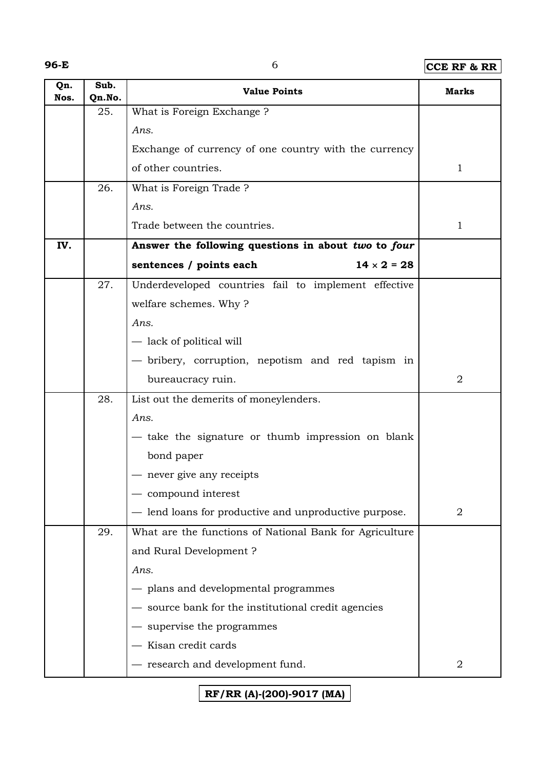## **96-E** 6 **CCE RF & RR**

| Qn.<br>Nos. | Sub.<br>Qn.No. | <b>Value Points</b>                                     | Marks          |
|-------------|----------------|---------------------------------------------------------|----------------|
|             | 25.            | What is Foreign Exchange ?                              |                |
|             |                | Ans.                                                    |                |
|             |                | Exchange of currency of one country with the currency   |                |
|             |                | of other countries.                                     | $\mathbf{1}$   |
|             | 26.            | What is Foreign Trade?                                  |                |
|             |                | Ans.                                                    |                |
|             |                | Trade between the countries.                            | 1              |
| IV.         |                | Answer the following questions in about two to four     |                |
|             |                | $14 \times 2 = 28$<br>sentences / points each           |                |
|             | 27.            | Underdeveloped countries fail to implement effective    |                |
|             |                | welfare schemes. Why?                                   |                |
|             |                | Ans.                                                    |                |
|             |                | - lack of political will                                |                |
|             |                | - bribery, corruption, nepotism and red tapism in       |                |
|             |                | bureaucracy ruin.                                       | $\overline{2}$ |
|             | 28.            | List out the demerits of moneylenders.                  |                |
|             |                | Ans.                                                    |                |
|             |                | - take the signature or thumb impression on blank       |                |
|             |                | bond paper                                              |                |
|             |                | - never give any receipts                               |                |
|             |                | compound interest                                       |                |
|             |                | - lend loans for productive and unproductive purpose.   | 2              |
|             | 29.            | What are the functions of National Bank for Agriculture |                |
|             |                | and Rural Development?                                  |                |
|             |                | Ans.                                                    |                |
|             |                | - plans and developmental programmes                    |                |
|             |                | - source bank for the institutional credit agencies     |                |
|             |                | supervise the programmes                                |                |
|             |                | Kisan credit cards                                      |                |
|             |                | - research and development fund.                        | 2              |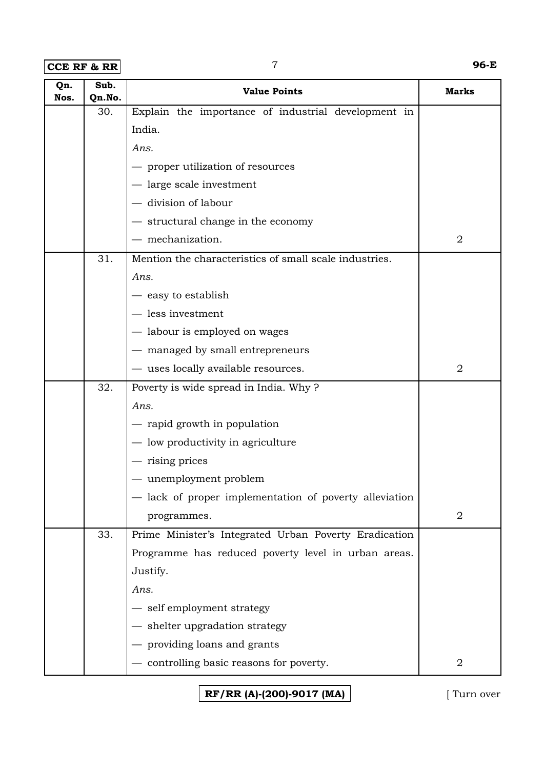**CCE RF & RR** 7 **96-E**

| Qn.<br>Nos. | Sub.<br>Qn.No. | <b>Value Points</b>                                    | <b>Marks</b>     |
|-------------|----------------|--------------------------------------------------------|------------------|
|             | 30.            | Explain the importance of industrial development in    |                  |
|             |                | India.                                                 |                  |
|             |                | Ans.                                                   |                  |
|             |                | - proper utilization of resources                      |                  |
|             |                | - large scale investment                               |                  |
|             |                | - division of labour                                   |                  |
|             |                | - structural change in the economy                     |                  |
|             |                | $-$ mechanization.                                     | $\overline{2}$   |
|             | 31.            | Mention the characteristics of small scale industries. |                  |
|             |                | Ans.                                                   |                  |
|             |                | — easy to establish                                    |                  |
|             |                | - less investment                                      |                  |
|             |                | — labour is employed on wages                          |                  |
|             |                | - managed by small entrepreneurs                       |                  |
|             |                | - uses locally available resources.                    | $\overline{2}$   |
|             | 32.            | Poverty is wide spread in India. Why?                  |                  |
|             |                | Ans.                                                   |                  |
|             |                | - rapid growth in population                           |                  |
|             |                | - low productivity in agriculture                      |                  |
|             |                | — rising prices                                        |                  |
|             |                | - unemployment problem                                 |                  |
|             |                | lack of proper implementation of poverty alleviation   |                  |
|             |                | programmes.                                            | $\boldsymbol{2}$ |
|             | 33.            | Prime Minister's Integrated Urban Poverty Eradication  |                  |
|             |                | Programme has reduced poverty level in urban areas.    |                  |
|             |                | Justify.                                               |                  |
|             |                | Ans.                                                   |                  |
|             |                | - self employment strategy                             |                  |
|             |                | - shelter upgradation strategy                         |                  |
|             |                | providing loans and grants                             |                  |
|             |                | - controlling basic reasons for poverty.               | $\overline{2}$   |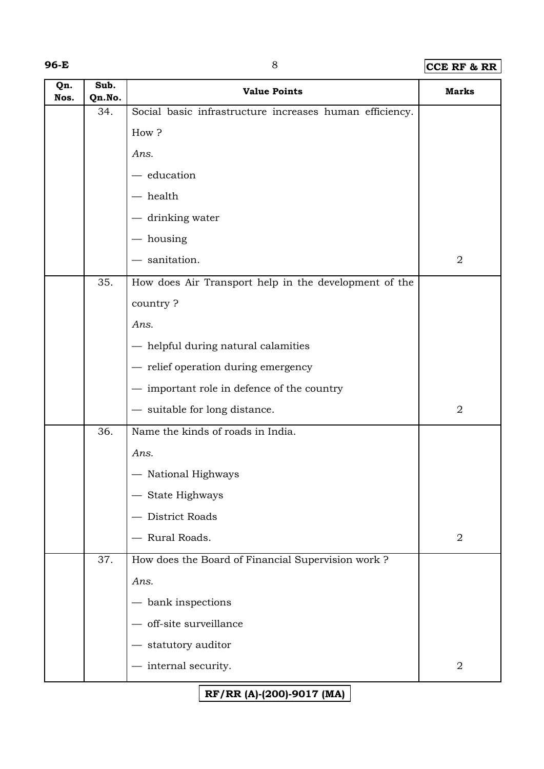#### **96-E** 8 **CCE RF & RR**

| Qn.<br>Nos. | Sub.<br>Qn.No. | <b>Value Points</b>                                     | <b>Marks</b>   |
|-------------|----------------|---------------------------------------------------------|----------------|
|             | 34.            | Social basic infrastructure increases human efficiency. |                |
|             |                | How?                                                    |                |
|             |                | Ans.                                                    |                |
|             |                | - education                                             |                |
|             |                | – health                                                |                |
|             |                | drinking water                                          |                |
|             |                | - housing                                               |                |
|             |                | - sanitation.                                           | $\overline{2}$ |
|             | 35.            | How does Air Transport help in the development of the   |                |
|             |                | country?                                                |                |
|             |                | Ans.                                                    |                |
|             |                | - helpful during natural calamities                     |                |
|             |                | - relief operation during emergency                     |                |
|             |                | - important role in defence of the country              |                |
|             |                | - suitable for long distance.                           | $\sqrt{2}$     |
|             | 36.            | Name the kinds of roads in India.                       |                |
|             |                | Ans.                                                    |                |
|             |                | - National Highways                                     |                |
|             |                | State Highways                                          |                |
|             |                | District Roads                                          |                |
|             |                | Rural Roads.                                            | $\sqrt{2}$     |
|             | 37.            | How does the Board of Financial Supervision work?       |                |
|             |                | Ans.                                                    |                |
|             |                | bank inspections                                        |                |
|             |                | off-site surveillance                                   |                |
|             |                | statutory auditor                                       |                |
|             |                | - internal security.                                    | $\sqrt{2}$     |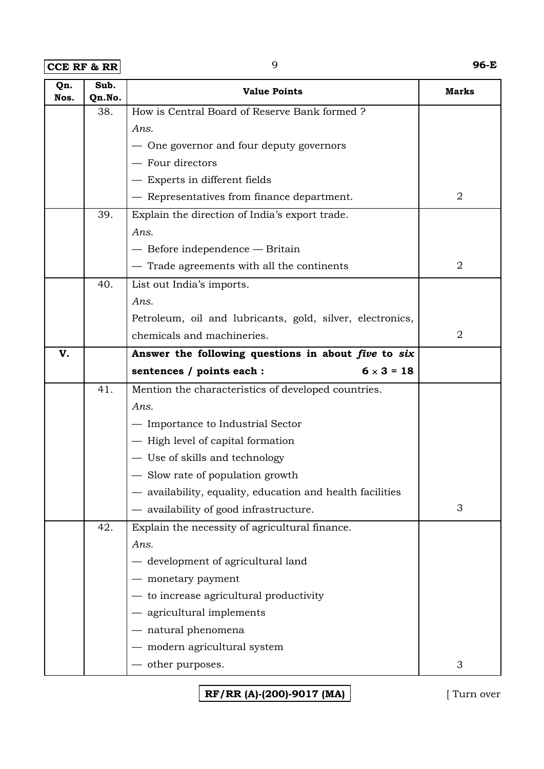**CCE RF & RR** 9 **96-E**

| Qn.<br>Nos. | Sub.<br>Qn.No. | <b>Value Points</b>                                       | <b>Marks</b>   |
|-------------|----------------|-----------------------------------------------------------|----------------|
|             | 38.            | How is Central Board of Reserve Bank formed?              |                |
|             |                | Ans.                                                      |                |
|             |                | - One governor and four deputy governors                  |                |
|             |                | - Four directors                                          |                |
|             |                | - Experts in different fields                             |                |
|             |                | - Representatives from finance department.                | $\overline{2}$ |
|             | 39.            | Explain the direction of India's export trade.            |                |
|             |                | Ans.                                                      |                |
|             |                | $-$ Before independence $-$ Britain                       |                |
|             |                | - Trade agreements with all the continents                | $\overline{2}$ |
|             | 40.            | List out India's imports.                                 |                |
|             |                | Ans.                                                      |                |
|             |                | Petroleum, oil and lubricants, gold, silver, electronics, |                |
|             |                | chemicals and machineries.                                | $\overline{2}$ |
| V.          |                | Answer the following questions in about five to six       |                |
|             |                | $6 \times 3 = 18$<br>sentences / points each :            |                |
|             | 41.            | Mention the characteristics of developed countries.       |                |
|             |                | Ans.                                                      |                |
|             |                | - Importance to Industrial Sector                         |                |
|             |                | - High level of capital formation                         |                |
|             |                | - Use of skills and technology                            |                |
|             |                | - Slow rate of population growth                          |                |
|             |                | availability, equality, education and health facilities   |                |
|             |                | - availability of good infrastructure.                    | 3              |
|             | 42.            | Explain the necessity of agricultural finance.            |                |
|             |                | Ans.                                                      |                |
|             |                | - development of agricultural land                        |                |
|             |                | monetary payment                                          |                |
|             |                | to increase agricultural productivity                     |                |
|             |                | - agricultural implements                                 |                |
|             |                | - natural phenomena                                       |                |
|             |                | modern agricultural system                                |                |
|             |                | - other purposes.                                         | 3              |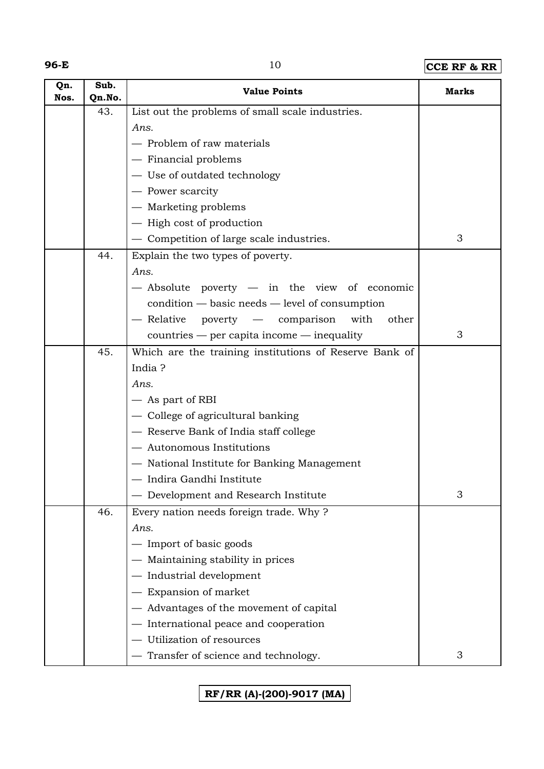## **96-E** 10 **CCE RF & RR**

| Qn.<br>Nos. | Sub.<br>Qn.No. | <b>Value Points</b>                                    | <b>Marks</b> |
|-------------|----------------|--------------------------------------------------------|--------------|
|             | 43.            | List out the problems of small scale industries.       |              |
|             |                | Ans.                                                   |              |
|             |                | - Problem of raw materials                             |              |
|             |                | - Financial problems                                   |              |
|             |                | - Use of outdated technology                           |              |
|             |                | - Power scarcity                                       |              |
|             |                | - Marketing problems                                   |              |
|             |                | - High cost of production                              |              |
|             |                | - Competition of large scale industries.               | 3            |
|             | 44.            | Explain the two types of poverty.                      |              |
|             |                | Ans.                                                   |              |
|             |                | - Absolute poverty - in the view of economic           |              |
|             |                | condition — basic needs — level of consumption         |              |
|             |                | - Relative poverty - comparison<br>with<br>other       |              |
|             |                | countries — per capita income — inequality             | 3            |
|             | 45.            | Which are the training institutions of Reserve Bank of |              |
|             |                | India?                                                 |              |
|             |                | Ans.                                                   |              |
|             |                | - As part of RBI                                       |              |
|             |                | - College of agricultural banking                      |              |
|             |                | - Reserve Bank of India staff college                  |              |
|             |                | - Autonomous Institutions                              |              |
|             |                | - National Institute for Banking Management            |              |
|             |                | — Indira Gandhi Institute                              |              |
|             |                | - Development and Research Institute                   | 3            |
|             | 46.            | Every nation needs foreign trade. Why?                 |              |
|             |                | Ans.                                                   |              |
|             |                | - Import of basic goods                                |              |
|             |                | - Maintaining stability in prices                      |              |
|             |                | - Industrial development                               |              |
|             |                | Expansion of market                                    |              |
|             |                | - Advantages of the movement of capital                |              |
|             |                | International peace and cooperation                    |              |
|             |                | Utilization of resources                               |              |
|             |                | Transfer of science and technology.                    | 3            |